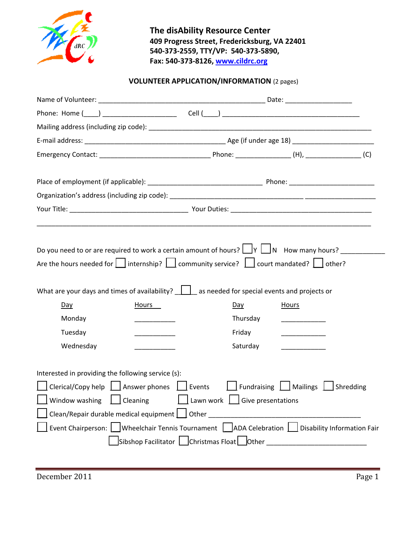

**The disAbility Resource Center 409 Progress Street, Fredericksburg, VA 22401 540-373-2559, TTY/VP: 540-373-5890, Fax: 540-373-8126, www.cildrc.org**

## **VOLUNTEER APPLICATION/INFORMATION** (2 pages)

| Day                                                                                                                                           | Hours | What are your days and times of availability? $\Box$ as needed for special events and projects or<br>Day                                                                                       | Hours                              |  |
|-----------------------------------------------------------------------------------------------------------------------------------------------|-------|------------------------------------------------------------------------------------------------------------------------------------------------------------------------------------------------|------------------------------------|--|
| Monday                                                                                                                                        |       | Thursday                                                                                                                                                                                       |                                    |  |
| Tuesday                                                                                                                                       |       | Friday                                                                                                                                                                                         |                                    |  |
| Wednesday                                                                                                                                     |       | Saturday                                                                                                                                                                                       |                                    |  |
| Interested in providing the following service (s):<br>Clerical/Copy help $\Box$ Answer phones $\Box$ Events<br>Window washing $\Box$ Cleaning |       | $\boxed{\phantom{a}}$ Lawn work $\phantom{a}\boxed{\phantom{a}}$ Give presentations<br>Event Chairperson: Wheelchair Tennis Tournament   $\vert$ ADA Celebration   Disability Information Fair | Fundraising   Mailings   Shredding |  |
|                                                                                                                                               |       | Sibshop Facilitator   Christmas Float   Other                                                                                                                                                  |                                    |  |